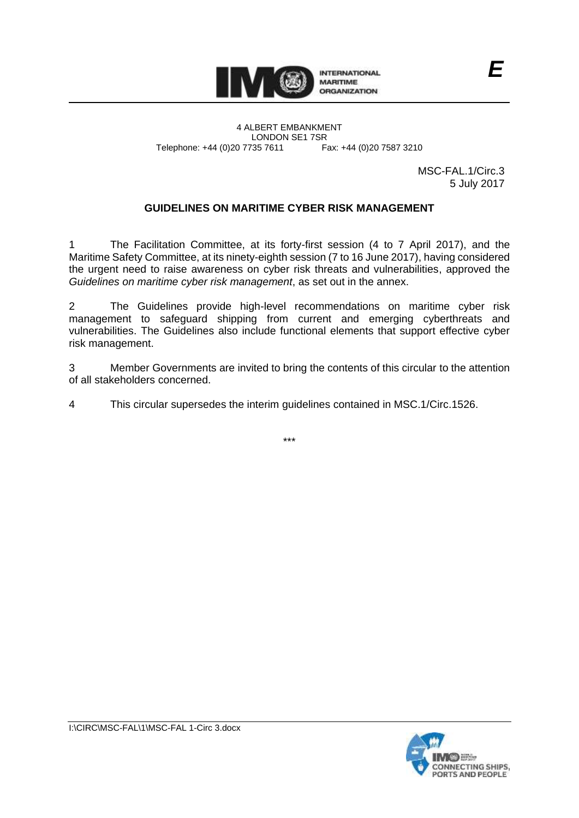

4 ALBERT EMBANKMENT LONDON SE1 7SR<br>735 7611 Fax: +44 (0)20 7587 3210 Telephone: +44 (0)20 7735 7611

> MSC-FAL.1/Circ.3 5 July 2017

*E*

## **GUIDELINES ON MARITIME CYBER RISK MANAGEMENT**

1 The Facilitation Committee, at its forty-first session (4 to 7 April 2017), and the Maritime Safety Committee, at its ninety-eighth session (7 to 16 June 2017), having considered the urgent need to raise awareness on cyber risk threats and vulnerabilities, approved the *Guidelines on maritime cyber risk management*, as set out in the annex.

2 The Guidelines provide high-level recommendations on maritime cyber risk management to safeguard shipping from current and emerging cyberthreats and vulnerabilities. The Guidelines also include functional elements that support effective cyber risk management.

3 Member Governments are invited to bring the contents of this circular to the attention of all stakeholders concerned.

4 This circular supersedes the interim guidelines contained in MSC.1/Circ.1526.

\*\*\*

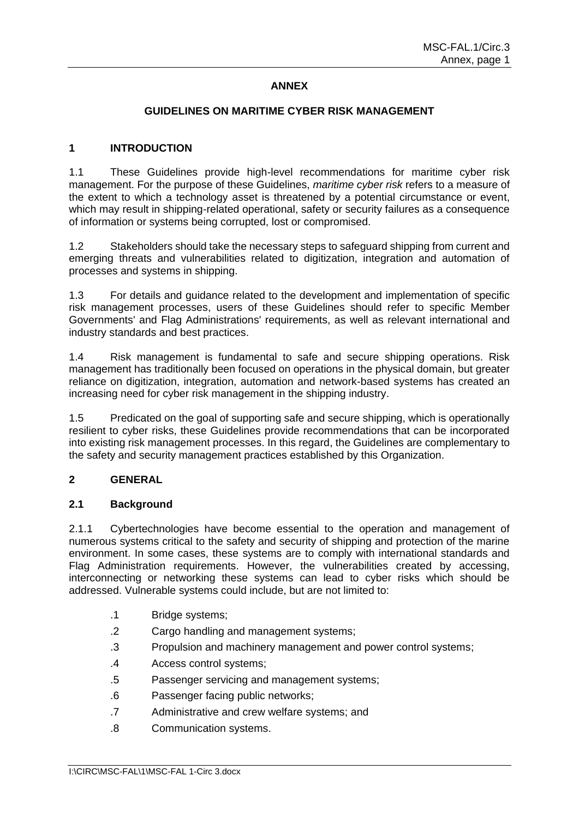# **ANNEX**

## **GUIDELINES ON MARITIME CYBER RISK MANAGEMENT**

## **1 INTRODUCTION**

1.1 These Guidelines provide high-level recommendations for maritime cyber risk management. For the purpose of these Guidelines, *maritime cyber risk* refers to a measure of the extent to which a technology asset is threatened by a potential circumstance or event, which may result in shipping-related operational, safety or security failures as a consequence of information or systems being corrupted, lost or compromised.

1.2 Stakeholders should take the necessary steps to safeguard shipping from current and emerging threats and vulnerabilities related to digitization, integration and automation of processes and systems in shipping.

1.3 For details and guidance related to the development and implementation of specific risk management processes, users of these Guidelines should refer to specific Member Governments' and Flag Administrations' requirements, as well as relevant international and industry standards and best practices.

1.4 Risk management is fundamental to safe and secure shipping operations. Risk management has traditionally been focused on operations in the physical domain, but greater reliance on digitization, integration, automation and network-based systems has created an increasing need for cyber risk management in the shipping industry.

1.5 Predicated on the goal of supporting safe and secure shipping, which is operationally resilient to cyber risks, these Guidelines provide recommendations that can be incorporated into existing risk management processes. In this regard, the Guidelines are complementary to the safety and security management practices established by this Organization.

#### **2 GENERAL**

#### **2.1 Background**

2.1.1 Cybertechnologies have become essential to the operation and management of numerous systems critical to the safety and security of shipping and protection of the marine environment. In some cases, these systems are to comply with international standards and Flag Administration requirements. However, the vulnerabilities created by accessing, interconnecting or networking these systems can lead to cyber risks which should be addressed. Vulnerable systems could include, but are not limited to:

- .1 Bridge systems;
- .2 Cargo handling and management systems;
- .3 Propulsion and machinery management and power control systems;
- .4 Access control systems;
- .5 Passenger servicing and management systems;
- .6 Passenger facing public networks;
- .7 Administrative and crew welfare systems; and
- .8 Communication systems.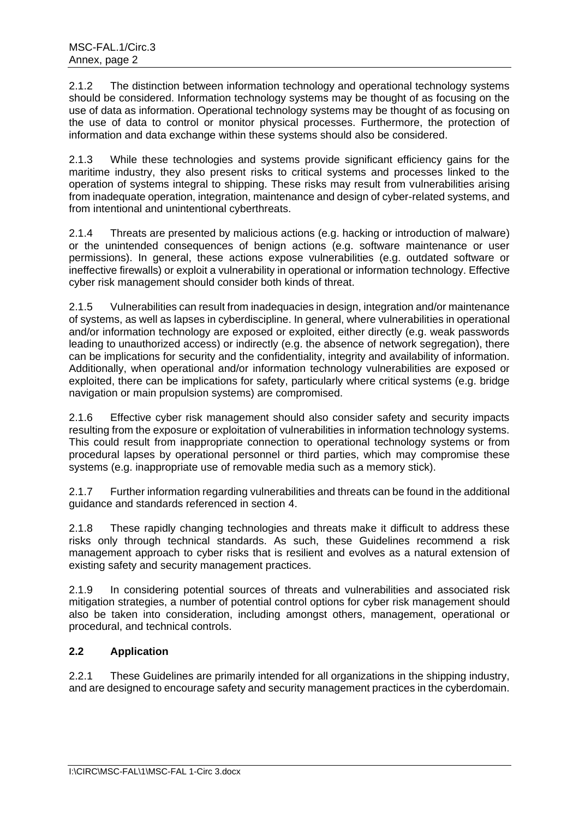2.1.2 The distinction between information technology and operational technology systems should be considered. Information technology systems may be thought of as focusing on the use of data as information. Operational technology systems may be thought of as focusing on the use of data to control or monitor physical processes. Furthermore, the protection of information and data exchange within these systems should also be considered.

2.1.3 While these technologies and systems provide significant efficiency gains for the maritime industry, they also present risks to critical systems and processes linked to the operation of systems integral to shipping. These risks may result from vulnerabilities arising from inadequate operation, integration, maintenance and design of cyber-related systems, and from intentional and unintentional cyberthreats.

2.1.4 Threats are presented by malicious actions (e.g. hacking or introduction of malware) or the unintended consequences of benign actions (e.g. software maintenance or user permissions). In general, these actions expose vulnerabilities (e.g. outdated software or ineffective firewalls) or exploit a vulnerability in operational or information technology. Effective cyber risk management should consider both kinds of threat.

2.1.5 Vulnerabilities can result from inadequacies in design, integration and/or maintenance of systems, as well as lapses in cyberdiscipline. In general, where vulnerabilities in operational and/or information technology are exposed or exploited, either directly (e.g. weak passwords leading to unauthorized access) or indirectly (e.g. the absence of network segregation), there can be implications for security and the confidentiality, integrity and availability of information. Additionally, when operational and/or information technology vulnerabilities are exposed or exploited, there can be implications for safety, particularly where critical systems (e.g. bridge navigation or main propulsion systems) are compromised.

2.1.6 Effective cyber risk management should also consider safety and security impacts resulting from the exposure or exploitation of vulnerabilities in information technology systems. This could result from inappropriate connection to operational technology systems or from procedural lapses by operational personnel or third parties, which may compromise these systems (e.g. inappropriate use of removable media such as a memory stick).

2.1.7 Further information regarding vulnerabilities and threats can be found in the additional guidance and standards referenced in section 4.

2.1.8 These rapidly changing technologies and threats make it difficult to address these risks only through technical standards. As such, these Guidelines recommend a risk management approach to cyber risks that is resilient and evolves as a natural extension of existing safety and security management practices.

2.1.9 In considering potential sources of threats and vulnerabilities and associated risk mitigation strategies, a number of potential control options for cyber risk management should also be taken into consideration, including amongst others, management, operational or procedural, and technical controls.

# **2.2 Application**

2.2.1 These Guidelines are primarily intended for all organizations in the shipping industry, and are designed to encourage safety and security management practices in the cyberdomain.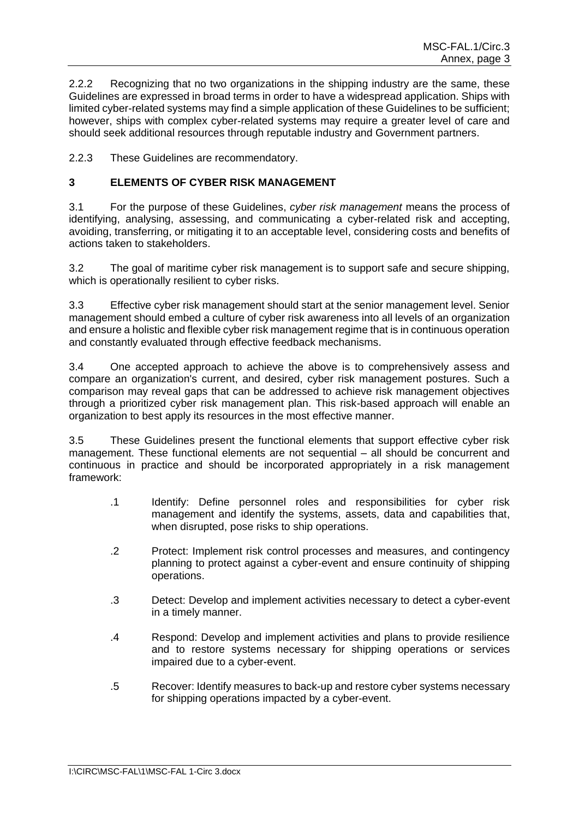2.2.2 Recognizing that no two organizations in the shipping industry are the same, these Guidelines are expressed in broad terms in order to have a widespread application. Ships with limited cyber-related systems may find a simple application of these Guidelines to be sufficient; however, ships with complex cyber-related systems may require a greater level of care and should seek additional resources through reputable industry and Government partners.

2.2.3 These Guidelines are recommendatory.

## **3 ELEMENTS OF CYBER RISK MANAGEMENT**

3.1 For the purpose of these Guidelines, *cyber risk management* means the process of identifying, analysing, assessing, and communicating a cyber-related risk and accepting, avoiding, transferring, or mitigating it to an acceptable level, considering costs and benefits of actions taken to stakeholders.

3.2 The goal of maritime cyber risk management is to support safe and secure shipping, which is operationally resilient to cyber risks.

3.3 Effective cyber risk management should start at the senior management level. Senior management should embed a culture of cyber risk awareness into all levels of an organization and ensure a holistic and flexible cyber risk management regime that is in continuous operation and constantly evaluated through effective feedback mechanisms.

3.4 One accepted approach to achieve the above is to comprehensively assess and compare an organization's current, and desired, cyber risk management postures. Such a comparison may reveal gaps that can be addressed to achieve risk management objectives through a prioritized cyber risk management plan. This risk-based approach will enable an organization to best apply its resources in the most effective manner.

3.5 These Guidelines present the functional elements that support effective cyber risk management. These functional elements are not sequential – all should be concurrent and continuous in practice and should be incorporated appropriately in a risk management framework:

- .1 Identify: Define personnel roles and responsibilities for cyber risk management and identify the systems, assets, data and capabilities that, when disrupted, pose risks to ship operations.
- .2 Protect: Implement risk control processes and measures, and contingency planning to protect against a cyber-event and ensure continuity of shipping operations.
- .3 Detect: Develop and implement activities necessary to detect a cyber-event in a timely manner.
- .4 Respond: Develop and implement activities and plans to provide resilience and to restore systems necessary for shipping operations or services impaired due to a cyber-event.
- .5 Recover: Identify measures to back-up and restore cyber systems necessary for shipping operations impacted by a cyber-event.